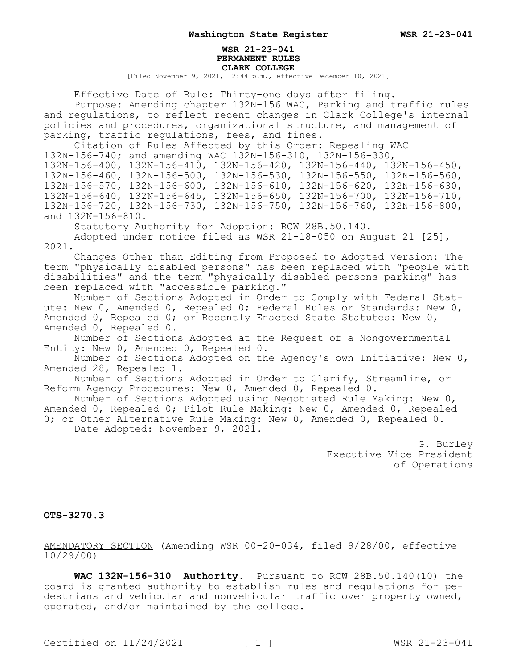## **WSR 21-23-041 PERMANENT RULES CLARK COLLEGE**

[Filed November 9, 2021, 12:44 p.m., effective December 10, 2021]

Effective Date of Rule: Thirty-one days after filing.

Purpose: Amending chapter 132N-156 WAC, Parking and traffic rules and regulations, to reflect recent changes in Clark College's internal policies and procedures, organizational structure, and management of parking, traffic regulations, fees, and fines.

Citation of Rules Affected by this Order: Repealing WAC

132N-156-740; and amending WAC 132N-156-310, 132N-156-330,

132N-156-400, 132N-156-410, 132N-156-420, 132N-156-440, 132N-156-450, 132N-156-460, 132N-156-500, 132N-156-530, 132N-156-550, 132N-156-560, 132N-156-570, 132N-156-600, 132N-156-610, 132N-156-620, 132N-156-630, 132N-156-640, 132N-156-645, 132N-156-650, 132N-156-700, 132N-156-710, 132N-156-720, 132N-156-730, 132N-156-750, 132N-156-760, 132N-156-800, and 132N-156-810.

Statutory Authority for Adoption: RCW 28B.50.140.

Adopted under notice filed as WSR 21-18-050 on August 21 [25], 2021.

Changes Other than Editing from Proposed to Adopted Version: The term "physically disabled persons" has been replaced with "people with disabilities" and the term "physically disabled persons parking" has been replaced with "accessible parking."

Number of Sections Adopted in Order to Comply with Federal Statute: New 0, Amended 0, Repealed 0; Federal Rules or Standards: New 0, Amended 0, Repealed 0; or Recently Enacted State Statutes: New 0, Amended 0, Repealed 0.

Number of Sections Adopted at the Request of a Nongovernmental Entity: New 0, Amended 0, Repealed 0.

Number of Sections Adopted on the Agency's own Initiative: New 0, Amended 28, Repealed 1.

Number of Sections Adopted in Order to Clarify, Streamline, or Reform Agency Procedures: New 0, Amended 0, Repealed 0.

Number of Sections Adopted using Negotiated Rule Making: New 0, Amended 0, Repealed 0; Pilot Rule Making: New 0, Amended 0, Repealed 0; or Other Alternative Rule Making: New 0, Amended 0, Repealed 0. Date Adopted: November 9, 2021.

> G. Burley Executive Vice President of Operations

## **OTS-3270.3**

AMENDATORY SECTION (Amending WSR 00-20-034, filed 9/28/00, effective 10/29/00)

**WAC 132N-156-310 Authority.** Pursuant to RCW 28B.50.140(10) the board is granted authority to establish rules and regulations for pedestrians and vehicular and nonvehicular traffic over property owned, operated, and/or maintained by the college.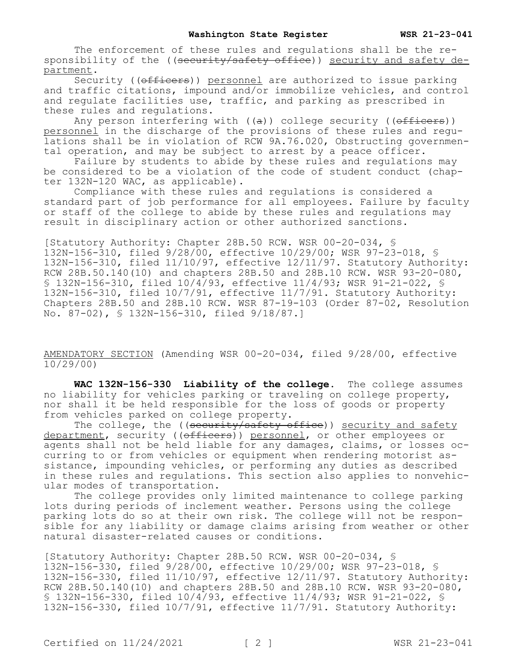The enforcement of these rules and regulations shall be the responsibility of the ((security/safety office)) security and safety department.

Security ((officers)) personnel are authorized to issue parking and traffic citations, impound and/or immobilize vehicles, and control and regulate facilities use, traffic, and parking as prescribed in these rules and regulations.

Any person interfering with  $((a))$  college security ((officers)) personnel in the discharge of the provisions of these rules and regulations shall be in violation of RCW 9A.76.020, Obstructing governmental operation, and may be subject to arrest by a peace officer.

Failure by students to abide by these rules and regulations may be considered to be a violation of the code of student conduct (chapter 132N-120 WAC, as applicable).

Compliance with these rules and regulations is considered a standard part of job performance for all employees. Failure by faculty or staff of the college to abide by these rules and regulations may result in disciplinary action or other authorized sanctions.

[Statutory Authority: Chapter 28B.50 RCW. WSR 00-20-034, § 132N-156-310, filed 9/28/00, effective 10/29/00; WSR 97-23-018, § 132N-156-310, filed 11/10/97, effective 12/11/97. Statutory Authority: RCW 28B.50.140(10) and chapters 28B.50 and 28B.10 RCW. WSR 93-20-080, § 132N-156-310, filed 10/4/93, effective 11/4/93; WSR 91-21-022, § 132N-156-310, filed 10/7/91, effective 11/7/91. Statutory Authority: Chapters 28B.50 and 28B.10 RCW. WSR 87-19-103 (Order 87-02, Resolution No. 87-02), § 132N-156-310, filed 9/18/87.]

AMENDATORY SECTION (Amending WSR 00-20-034, filed 9/28/00, effective 10/29/00)

**WAC 132N-156-330 Liability of the college.** The college assumes no liability for vehicles parking or traveling on college property, nor shall it be held responsible for the loss of goods or property from vehicles parked on college property.

The college, the ((security/safety office)) security and safety department, security ((officers)) personnel, or other employees or agents shall not be held liable for any damages, claims, or losses occurring to or from vehicles or equipment when rendering motorist assistance, impounding vehicles, or performing any duties as described in these rules and regulations. This section also applies to nonvehicular modes of transportation.

The college provides only limited maintenance to college parking lots during periods of inclement weather. Persons using the college parking lots do so at their own risk. The college will not be responsible for any liability or damage claims arising from weather or other natural disaster-related causes or conditions.

[Statutory Authority: Chapter 28B.50 RCW. WSR 00-20-034, § 132N-156-330, filed 9/28/00, effective 10/29/00; WSR 97-23-018, § 132N-156-330, filed 11/10/97, effective 12/11/97. Statutory Authority: RCW 28B.50.140(10) and chapters 28B.50 and 28B.10 RCW. WSR 93-20-080, § 132N-156-330, filed 10/4/93, effective 11/4/93; WSR 91-21-022, § 132N-156-330, filed 10/7/91, effective 11/7/91. Statutory Authority: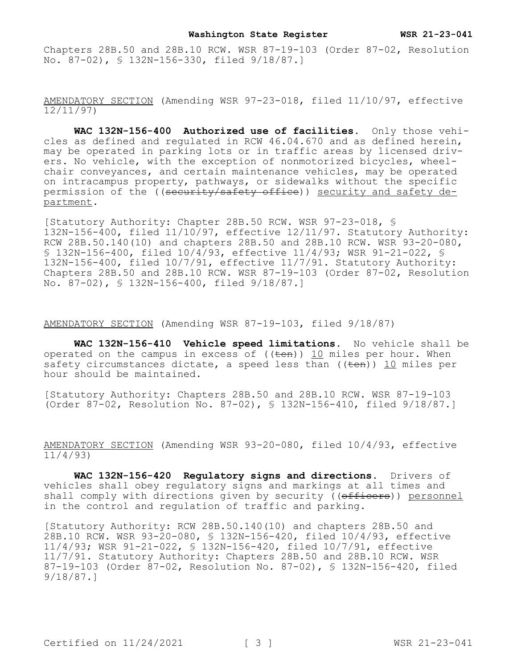Chapters 28B.50 and 28B.10 RCW. WSR 87-19-103 (Order 87-02, Resolution No. 87-02), § 132N-156-330, filed 9/18/87.]

AMENDATORY SECTION (Amending WSR 97-23-018, filed 11/10/97, effective 12/11/97)

**WAC 132N-156-400 Authorized use of facilities.** Only those vehicles as defined and regulated in RCW 46.04.670 and as defined herein, may be operated in parking lots or in traffic areas by licensed drivers. No vehicle, with the exception of nonmotorized bicycles, wheelchair conveyances, and certain maintenance vehicles, may be operated on intracampus property, pathways, or sidewalks without the specific permission of the ((security/safety office)) security and safety department.

[Statutory Authority: Chapter 28B.50 RCW. WSR 97-23-018, § 132N-156-400, filed 11/10/97, effective 12/11/97. Statutory Authority: RCW 28B.50.140(10) and chapters 28B.50 and 28B.10 RCW. WSR 93-20-080, § 132N-156-400, filed 10/4/93, effective 11/4/93; WSR 91-21-022, § 132N-156-400, filed 10/7/91, effective 11/7/91. Statutory Authority: Chapters 28B.50 and 28B.10 RCW. WSR 87-19-103 (Order 87-02, Resolution No. 87-02), § 132N-156-400, filed 9/18/87.]

AMENDATORY SECTION (Amending WSR 87-19-103, filed 9/18/87)

**WAC 132N-156-410 Vehicle speed limitations.** No vehicle shall be operated on the campus in excess of  $((\text{ten}))$  10 miles per hour. When safety circumstances dictate, a speed less than  $((\text{ten}))$  10 miles per hour should be maintained.

[Statutory Authority: Chapters 28B.50 and 28B.10 RCW. WSR 87-19-103 (Order 87-02, Resolution No. 87-02), § 132N-156-410, filed 9/18/87.]

AMENDATORY SECTION (Amending WSR 93-20-080, filed 10/4/93, effective 11/4/93)

**WAC 132N-156-420 Regulatory signs and directions.** Drivers of vehicles shall obey regulatory signs and markings at all times and shall comply with directions given by security ((officers)) personnel in the control and regulation of traffic and parking.

[Statutory Authority: RCW 28B.50.140(10) and chapters 28B.50 and 28B.10 RCW. WSR 93-20-080, § 132N-156-420, filed 10/4/93, effective 11/4/93; WSR 91-21-022, § 132N-156-420, filed 10/7/91, effective 11/7/91. Statutory Authority: Chapters 28B.50 and 28B.10 RCW. WSR 87-19-103 (Order 87-02, Resolution No. 87-02), § 132N-156-420, filed 9/18/87.]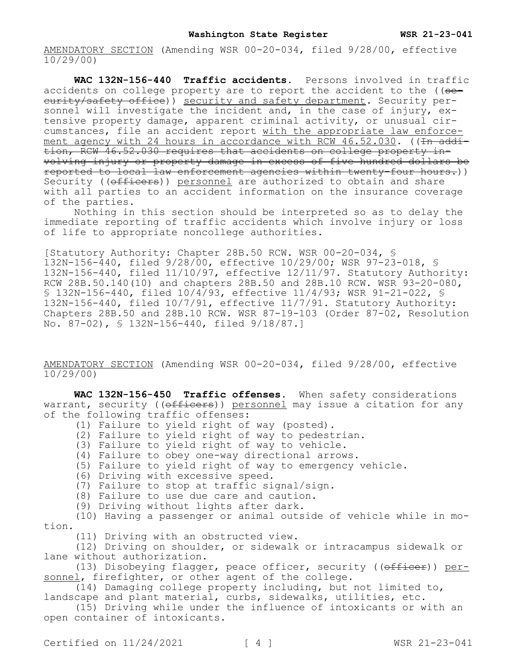**WAC 132N-156-440 Traffic accidents.** Persons involved in traffic accidents on college property are to report the accident to the ((seeurity/safety office)) security and safety department. Security personnel will investigate the incident and, in the case of injury, extensive property damage, apparent criminal activity, or unusual circumstances, file an accident report with the appropriate law enforcement agency with 24 hours in accordance with RCW  $46.52.030$ . ( $\overline{1 + 4}$ tion, RCW 46.52.030 requires that accidents on college property involving injury or property damage in excess of five hundred dollars be reported to local law enforcement agencies within twenty-four hours.)) Security ((officers)) personnel are authorized to obtain and share with all parties to an accident information on the insurance coverage of the parties.

Nothing in this section should be interpreted so as to delay the immediate reporting of traffic accidents which involve injury or loss of life to appropriate noncollege authorities.

[Statutory Authority: Chapter 28B.50 RCW. WSR 00-20-034, § 132N-156-440, filed 9/28/00, effective 10/29/00; WSR 97-23-018, § 132N-156-440, filed 11/10/97, effective 12/11/97. Statutory Authority: RCW 28B.50.140(10) and chapters 28B.50 and 28B.10 RCW. WSR 93-20-080, § 132N-156-440, filed 10/4/93, effective 11/4/93; WSR 91-21-022, § 132N-156-440, filed 10/7/91, effective 11/7/91. Statutory Authority: Chapters 28B.50 and 28B.10 RCW. WSR 87-19-103 (Order 87-02, Resolution No. 87-02), § 132N-156-440, filed 9/18/87.]

AMENDATORY SECTION (Amending WSR 00-20-034, filed 9/28/00, effective  $10/29/00$ 

**WAC 132N-156-450 Traffic offenses.** When safety considerations warrant, security ((officers)) personnel may issue a citation for any of the following traffic offenses:

- (1) Failure to yield right of way (posted).
- (2) Failure to yield right of way to pedestrian.
- (3) Failure to yield right of way to vehicle.
- (4) Failure to obey one-way directional arrows.
- (5) Failure to yield right of way to emergency vehicle.
- (6) Driving with excessive speed.
- (7) Failure to stop at traffic signal/sign.
- (8) Failure to use due care and caution.
- (9) Driving without lights after dark.

(10) Having a passenger or animal outside of vehicle while in motion.

(11) Driving with an obstructed view.

(12) Driving on shoulder, or sidewalk or intracampus sidewalk or lane without authorization.

(13) Disobeying flagger, peace officer, security ((officer)) personnel, firefighter, or other agent of the college.

(14) Damaging college property including, but not limited to, landscape and plant material, curbs, sidewalks, utilities, etc.

(15) Driving while under the influence of intoxicants or with an open container of intoxicants.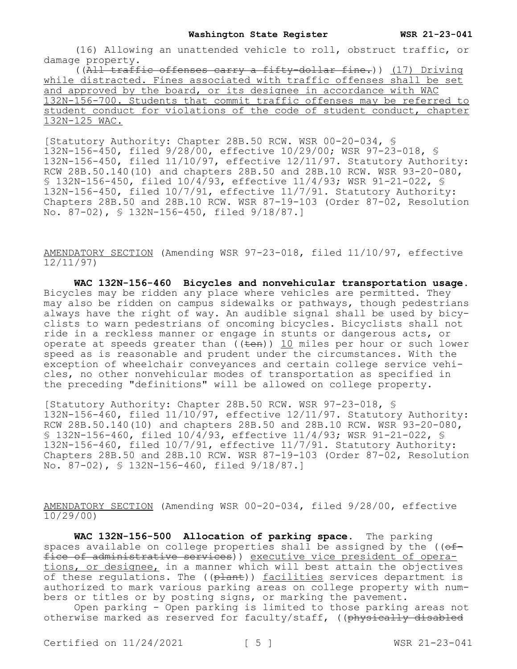(16) Allowing an unattended vehicle to roll, obstruct traffic, or damage property.

((All traffic offenses carry a fifty-dollar fine.)) (17) Driving while distracted. Fines associated with traffic offenses shall be set and approved by the board, or its designee in accordance with WAC 132N-156-700. Students that commit traffic offenses may be referred to student conduct for violations of the code of student conduct, chapter 132N-125 WAC.

[Statutory Authority: Chapter 28B.50 RCW. WSR 00-20-034, § 132N-156-450, filed 9/28/00, effective 10/29/00; WSR 97-23-018, § 132N-156-450, filed 11/10/97, effective 12/11/97. Statutory Authority: RCW 28B.50.140(10) and chapters 28B.50 and 28B.10 RCW. WSR 93-20-080, § 132N-156-450, filed 10/4/93, effective 11/4/93; WSR 91-21-022, § 132N-156-450, filed 10/7/91, effective 11/7/91. Statutory Authority: Chapters 28B.50 and 28B.10 RCW. WSR 87-19-103 (Order 87-02, Resolution No. 87-02), § 132N-156-450, filed 9/18/87.]

AMENDATORY SECTION (Amending WSR 97-23-018, filed 11/10/97, effective 12/11/97)

**WAC 132N-156-460 Bicycles and nonvehicular transportation usage.**  Bicycles may be ridden any place where vehicles are permitted. They may also be ridden on campus sidewalks or pathways, though pedestrians always have the right of way. An audible signal shall be used by bicyclists to warn pedestrians of oncoming bicycles. Bicyclists shall not ride in a reckless manner or engage in stunts or dangerous acts, or operate at speeds greater than  $($ ( $\overline{ten})$ ) 10 miles per hour or such lower speed as is reasonable and prudent under the circumstances. With the exception of wheelchair conveyances and certain college service vehicles, no other nonvehicular modes of transportation as specified in the preceding "definitions" will be allowed on college property.

[Statutory Authority: Chapter 28B.50 RCW. WSR 97-23-018, § 132N-156-460, filed 11/10/97, effective 12/11/97. Statutory Authority: RCW 28B.50.140(10) and chapters 28B.50 and 28B.10 RCW. WSR 93-20-080, § 132N-156-460, filed 10/4/93, effective 11/4/93; WSR 91-21-022, § 132N-156-460, filed 10/7/91, effective 11/7/91. Statutory Authority: Chapters 28B.50 and 28B.10 RCW. WSR 87-19-103 (Order 87-02, Resolution No. 87-02), § 132N-156-460, filed 9/18/87.]

AMENDATORY SECTION (Amending WSR 00-20-034, filed 9/28/00, effective 10/29/00)

**WAC 132N-156-500 Allocation of parking space.** The parking spaces available on college properties shall be assigned by the  $(\theta f$ fice of administrative services)) executive vice president of operations, or designee, in a manner which will best attain the objectives of these regulations. The ((plant)) facilities services department is authorized to mark various parking areas on college property with numbers or titles or by posting signs, or marking the pavement.

Open parking - Open parking is limited to those parking areas not otherwise marked as reserved for faculty/staff, ((physically disabled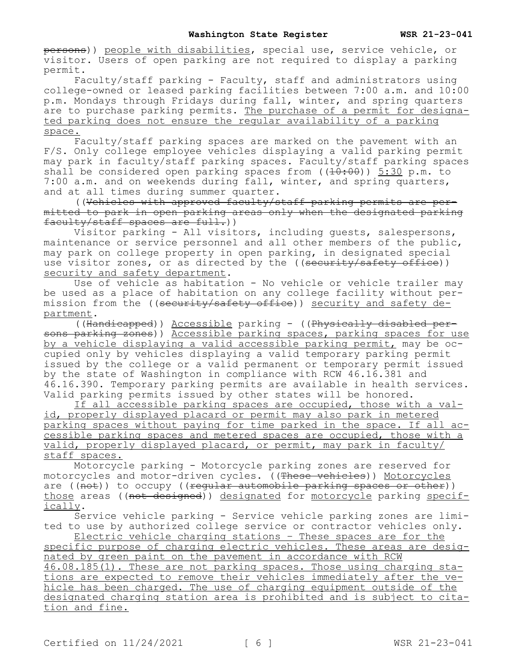persons)) people with disabilities, special use, service vehicle, or visitor. Users of open parking are not required to display a parking permit.

Faculty/staff parking - Faculty, staff and administrators using college-owned or leased parking facilities between 7:00 a.m. and 10:00 p.m. Mondays through Fridays during fall, winter, and spring quarters are to purchase parking permits. The purchase of a permit for designated parking does not ensure the regular availability of a parking space.

Faculty/staff parking spaces are marked on the pavement with an F/S. Only college employee vehicles displaying a valid parking permit may park in faculty/staff parking spaces. Faculty/staff parking spaces shall be considered open parking spaces from  $((10:00))$  5:30 p.m. to 7:00 a.m. and on weekends during fall, winter, and spring quarters, and at all times during summer quarter.

((Vehicles with approved faculty/staff parking permits are permitted to park in open parking areas only when the designated parking faculty/staff spaces are full.))

Visitor parking - All visitors, including guests, salespersons, maintenance or service personnel and all other members of the public, may park on college property in open parking, in designated special use visitor zones, or as directed by the ((security/safety office)) security and safety department.

Use of vehicle as habitation - No vehicle or vehicle trailer may be used as a place of habitation on any college facility without permission from the ((security/safety office)) security and safety department.

((Handicapped)) Accessible parking - ((Physically disabled persons parking zones)) Accessible parking spaces, parking spaces for use by a vehicle displaying a valid accessible parking permit, may be occupied only by vehicles displaying a valid temporary parking permit issued by the college or a valid permanent or temporary permit issued by the state of Washington in compliance with RCW 46.16.381 and 46.16.390. Temporary parking permits are available in health services. Valid parking permits issued by other states will be honored.

If all accessible parking spaces are occupied, those with a valid, properly displayed placard or permit may also park in metered parking spaces without paying for time parked in the space. If all accessible parking spaces and metered spaces are occupied, those with a valid, properly displayed placard, or permit, may park in faculty/ staff spaces.

Motorcycle parking - Motorcycle parking zones are reserved for motorcycles and motor-driven cycles. ((These vehicles)) Motorcycles are ( $(\overline{\text{not}})$ ) to occupy ((regular automobile parking spaces or other)) those areas ((not designed)) designated for motorcycle parking specifically.

Service vehicle parking - Service vehicle parking zones are limited to use by authorized college service or contractor vehicles only. Electric vehicle charging stations – These spaces are for the

specific purpose of charging electric vehicles. These areas are designated by green paint on the pavement in accordance with RCW

46.08.185(1). These are not parking spaces. Those using charging stations are expected to remove their vehicles immediately after the vehicle has been charged. The use of charging equipment outside of the designated charging station area is prohibited and is subject to citation and fine.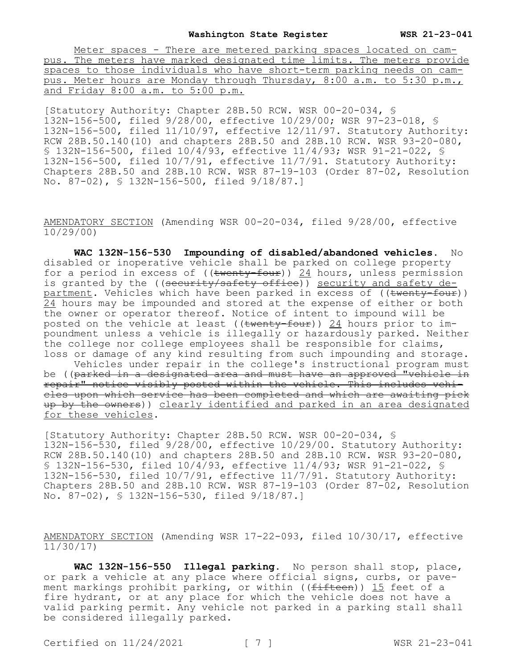## **Washington State Register WSR 21-23-041**

Meter spaces - There are metered parking spaces located on campus. The meters have marked designated time limits. The meters provide spaces to those individuals who have short-term parking needs on campus. Meter hours are Monday through Thursday, 8:00 a.m. to 5:30 p.m., and Friday 8:00 a.m. to 5:00 p.m.

[Statutory Authority: Chapter 28B.50 RCW. WSR 00-20-034, § 132N-156-500, filed 9/28/00, effective 10/29/00; WSR 97-23-018, § 132N-156-500, filed 11/10/97, effective 12/11/97. Statutory Authority: RCW 28B.50.140(10) and chapters 28B.50 and 28B.10 RCW. WSR 93-20-080, § 132N-156-500, filed 10/4/93, effective 11/4/93; WSR 91-21-022, § 132N-156-500, filed 10/7/91, effective 11/7/91. Statutory Authority: Chapters 28B.50 and 28B.10 RCW. WSR 87-19-103 (Order 87-02, Resolution No. 87-02), § 132N-156-500, filed 9/18/87.]

AMENDATORY SECTION (Amending WSR 00-20-034, filed 9/28/00, effective 10/29/00)

**WAC 132N-156-530 Impounding of disabled/abandoned vehicles.** No disabled or inoperative vehicle shall be parked on college property for a period in excess of  $((\text{twenty-four}))$  24 hours, unless permission is granted by the ((security/safety office)) security and safety department. Vehicles which have been parked in excess of ((twenty-four)) 24 hours may be impounded and stored at the expense of either or both the owner or operator thereof. Notice of intent to impound will be posted on the vehicle at least ((twenty-four)) 24 hours prior to impoundment unless a vehicle is illegally or hazardously parked. Neither the college nor college employees shall be responsible for claims, loss or damage of any kind resulting from such impounding and storage. Vehicles under repair in the college's instructional program must

be ((parked in a designated area and must have an approved "vehicle in repair" notice visibly posted within the vehicle. This includes vehicles upon which service has been completed and which are awaiting pick up by the owners)) clearly identified and parked in an area designated for these vehicles.

[Statutory Authority: Chapter 28B.50 RCW. WSR 00-20-034, § 132N-156-530, filed 9/28/00, effective 10/29/00. Statutory Authority: RCW 28B.50.140(10) and chapters 28B.50 and 28B.10 RCW. WSR 93-20-080, § 132N-156-530, filed 10/4/93, effective 11/4/93; WSR 91-21-022, § 132N-156-530, filed 10/7/91, effective 11/7/91. Statutory Authority: Chapters 28B.50 and 28B.10 RCW. WSR 87-19-103 (Order 87-02, Resolution No. 87-02), § 132N-156-530, filed 9/18/87.]

AMENDATORY SECTION (Amending WSR 17-22-093, filed 10/30/17, effective 11/30/17)

**WAC 132N-156-550 Illegal parking.** No person shall stop, place, or park a vehicle at any place where official signs, curbs, or pavement markings prohibit parking, or within ((<del>fifteen</del>)) 15 feet of a fire hydrant, or at any place for which the vehicle does not have a valid parking permit. Any vehicle not parked in a parking stall shall be considered illegally parked.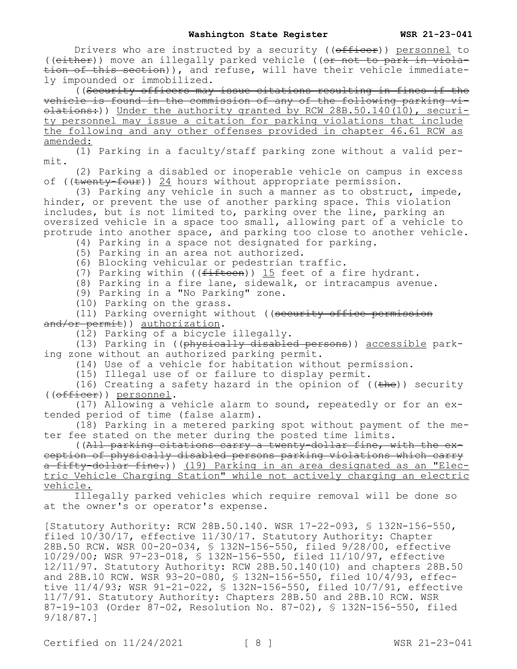Drivers who are instructed by a security (( $\theta$ fficer)) personnel to ((either)) move an illegally parked vehicle ((or not to park in violation of this section)), and refuse, will have their vehicle immediately impounded or immobilized.

((Security officers may issue citations resulting in fines if the vehicle is found in the commission of any of the following parking vi- $\theta$  olations:)) Under the authority granted by RCW 28B.50.140(10), security personnel may issue a citation for parking violations that include the following and any other offenses provided in chapter 46.61 RCW as amended:

(1) Parking in a faculty/staff parking zone without a valid permit.

(2) Parking a disabled or inoperable vehicle on campus in excess of ((twenty-four)) 24 hours without appropriate permission.

(3) Parking any vehicle in such a manner as to obstruct, impede, hinder, or prevent the use of another parking space. This violation includes, but is not limited to, parking over the line, parking an oversized vehicle in a space too small, allowing part of a vehicle to protrude into another space, and parking too close to another vehicle.

- (4) Parking in a space not designated for parking.
- (5) Parking in an area not authorized.
- (6) Blocking vehicular or pedestrian traffic.
- (7) Parking within (( $f$ ifteen)) 15 feet of a fire hydrant.
- (8) Parking in a fire lane, sidewalk, or intracampus avenue.

(9) Parking in a "No Parking" zone.

(10) Parking on the grass.

(11) Parking overnight without ((security office permission and/or permit)) authorization.

(12) Parking of a bicycle illegally.

(13) Parking in ((physically disabled persons)) accessible parking zone without an authorized parking permit.

(14) Use of a vehicle for habitation without permission.

(15) Illegal use of or failure to display permit.

(16) Creating a safety hazard in the opinion of  $((the)$  security ((officer)) personnel.

(17) Allowing a vehicle alarm to sound, repeatedly or for an extended period of time (false alarm).

(18) Parking in a metered parking spot without payment of the meter fee stated on the meter during the posted time limits.

((All parking citations carry a twenty-dollar fine, with the exception of physically disabled persons parking violations which carry a fifty-dollar fine.)) (19) Parking in an area designated as an "Electric Vehicle Charging Station" while not actively charging an electric vehicle.

Illegally parked vehicles which require removal will be done so at the owner's or operator's expense.

[Statutory Authority: RCW 28B.50.140. WSR 17-22-093, § 132N-156-550, filed 10/30/17, effective 11/30/17. Statutory Authority: Chapter 28B.50 RCW. WSR 00-20-034, § 132N-156-550, filed 9/28/00, effective 10/29/00; WSR 97-23-018, § 132N-156-550, filed 11/10/97, effective 12/11/97. Statutory Authority: RCW 28B.50.140(10) and chapters 28B.50 and 28B.10 RCW. WSR 93-20-080, § 132N-156-550, filed 10/4/93, effective 11/4/93; WSR 91-21-022, § 132N-156-550, filed 10/7/91, effective 11/7/91. Statutory Authority: Chapters 28B.50 and 28B.10 RCW. WSR 87-19-103 (Order 87-02, Resolution No. 87-02), § 132N-156-550, filed 9/18/87.]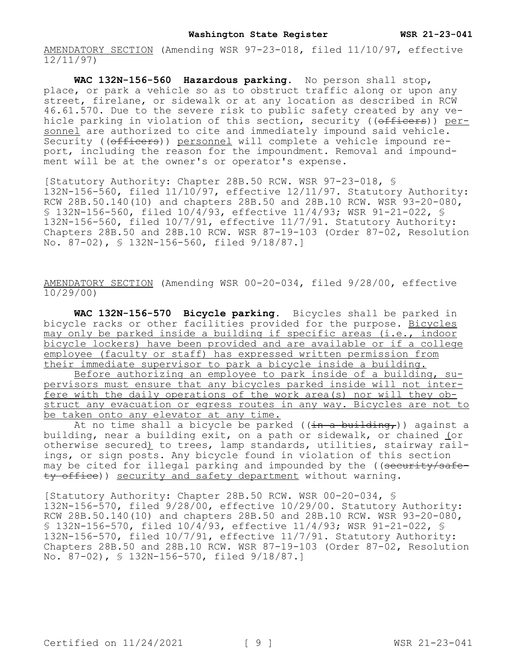AMENDATORY SECTION (Amending WSR 97-23-018, filed 11/10/97, effective 12/11/97)

**WAC 132N-156-560 Hazardous parking.** No person shall stop, place, or park a vehicle so as to obstruct traffic along or upon any street, firelane, or sidewalk or at any location as described in RCW 46.61.570. Due to the severe risk to public safety created by any vehicle parking in violation of this section, security ((officers)) personnel are authorized to cite and immediately impound said vehicle. Security ((officers)) personnel will complete a vehicle impound report, including the reason for the impoundment. Removal and impoundment will be at the owner's or operator's expense.

[Statutory Authority: Chapter 28B.50 RCW. WSR 97-23-018, § 132N-156-560, filed 11/10/97, effective 12/11/97. Statutory Authority: RCW 28B.50.140(10) and chapters 28B.50 and 28B.10 RCW. WSR 93-20-080, § 132N-156-560, filed 10/4/93, effective 11/4/93; WSR 91-21-022, § 132N-156-560, filed 10/7/91, effective 11/7/91. Statutory Authority: Chapters 28B.50 and 28B.10 RCW. WSR 87-19-103 (Order 87-02, Resolution No. 87-02), § 132N-156-560, filed 9/18/87.]

AMENDATORY SECTION (Amending WSR 00-20-034, filed 9/28/00, effective 10/29/00)

**WAC 132N-156-570 Bicycle parking.** Bicycles shall be parked in bicycle racks or other facilities provided for the purpose. Bicycles may only be parked inside a building if specific areas (i.e., indoor bicycle lockers) have been provided and are available or if a college employee (faculty or staff) has expressed written permission from their immediate supervisor to park a bicycle inside a building.

Before authorizing an employee to park inside of a building, supervisors must ensure that any bicycles parked inside will not interfere with the daily operations of the work area(s) nor will they obstruct any evacuation or egress routes in any way. Bicycles are not to be taken onto any elevator at any time.

At no time shall a bicycle be parked ((in a building,)) against a building, near a building exit, on a path or sidewalk, or chained (or otherwise secured) to trees, lamp standards, utilities, stairway railings, or sign posts. Any bicycle found in violation of this section may be cited for illegal parking and impounded by the ((security/safety office)) security and safety department without warning.

[Statutory Authority: Chapter 28B.50 RCW. WSR 00-20-034, § 132N-156-570, filed 9/28/00, effective 10/29/00. Statutory Authority: RCW 28B.50.140(10) and chapters 28B.50 and 28B.10 RCW. WSR 93-20-080, § 132N-156-570, filed 10/4/93, effective 11/4/93; WSR 91-21-022, § 132N-156-570, filed 10/7/91, effective 11/7/91. Statutory Authority: Chapters 28B.50 and 28B.10 RCW. WSR 87-19-103 (Order 87-02, Resolution No. 87-02), § 132N-156-570, filed 9/18/87.]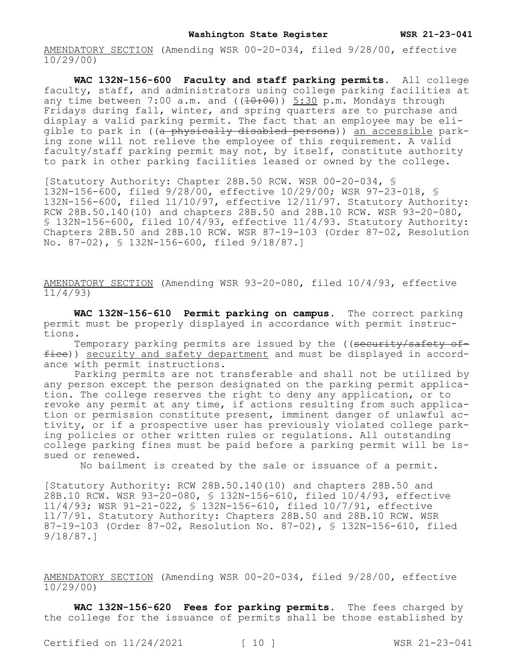**WAC 132N-156-600 Faculty and staff parking permits.** All college faculty, staff, and administrators using college parking facilities at any time between 7:00 a.m. and  $((40:00)$  5:30 p.m. Mondays through Fridays during fall, winter, and spring quarters are to purchase and display a valid parking permit. The fact that an employee may be eligible to park in ((a physically disabled persons)) an accessible parking zone will not relieve the employee of this requirement. A valid faculty/staff parking permit may not, by itself, constitute authority to park in other parking facilities leased or owned by the college.

[Statutory Authority: Chapter 28B.50 RCW. WSR 00-20-034, § 132N-156-600, filed 9/28/00, effective 10/29/00; WSR 97-23-018, § 132N-156-600, filed 11/10/97, effective 12/11/97. Statutory Authority: RCW 28B.50.140(10) and chapters 28B.50 and 28B.10 RCW. WSR 93-20-080, § 132N-156-600, filed  $10/4/93$ , effective  $11/4/93$ . Statutory Authority: Chapters 28B.50 and 28B.10 RCW. WSR 87-19-103 (Order 87-02, Resolution No. 87-02), § 132N-156-600, filed 9/18/87.]

AMENDATORY SECTION (Amending WSR 93-20-080, filed 10/4/93, effective 11/4/93)

**WAC 132N-156-610 Permit parking on campus.** The correct parking permit must be properly displayed in accordance with permit instructions.

Temporary parking permits are issued by the ((security/safety office)) security and safety department and must be displayed in accordance with permit instructions.

Parking permits are not transferable and shall not be utilized by any person except the person designated on the parking permit application. The college reserves the right to deny any application, or to revoke any permit at any time, if actions resulting from such application or permission constitute present, imminent danger of unlawful activity, or if a prospective user has previously violated college parking policies or other written rules or regulations. All outstanding college parking fines must be paid before a parking permit will be issued or renewed.

No bailment is created by the sale or issuance of a permit.

[Statutory Authority: RCW 28B.50.140(10) and chapters 28B.50 and 28B.10 RCW. WSR 93-20-080, § 132N-156-610, filed 10/4/93, effective 11/4/93; WSR 91-21-022, § 132N-156-610, filed 10/7/91, effective 11/7/91. Statutory Authority: Chapters 28B.50 and 28B.10 RCW. WSR 87-19-103 (Order 87-02, Resolution No. 87-02), § 132N-156-610, filed 9/18/87.]

AMENDATORY SECTION (Amending WSR 00-20-034, filed 9/28/00, effective  $10/29/00$ 

**WAC 132N-156-620 Fees for parking permits.** The fees charged by the college for the issuance of permits shall be those established by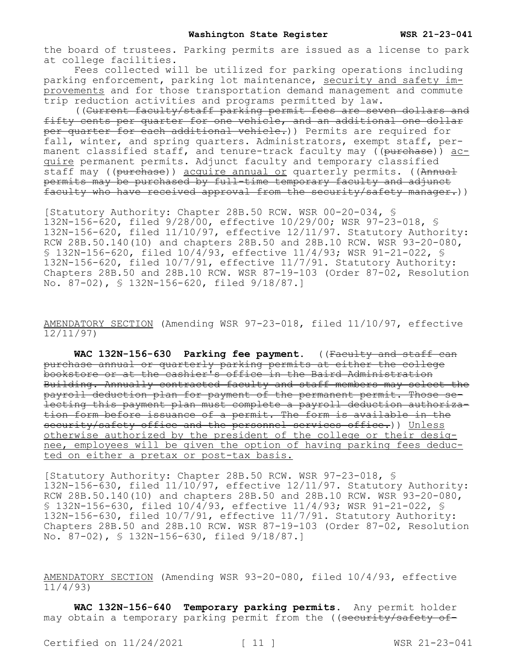the board of trustees. Parking permits are issued as a license to park at college facilities.

Fees collected will be utilized for parking operations including parking enforcement, parking lot maintenance, security and safety improvements and for those transportation demand management and commute trip reduction activities and programs permitted by law.

((Current faculty/staff parking permit fees are seven dollars and fifty cents per quarter for one vehicle, and an additional one dollar per quarter for each additional vehicle.)) Permits are required for fall, winter, and spring quarters. Administrators, exempt staff, permanent classified staff, and tenure-track faculty may ((purchase)) acquire permanent permits. Adjunct faculty and temporary classified staff may ((purchase)) acquire annual or quarterly permits. ((Annual permits may be purchased by full-time temporary faculty and adjunct faculty who have received approval from the security/safety manager.))

[Statutory Authority: Chapter 28B.50 RCW. WSR 00-20-034, § 132N-156-620, filed 9/28/00, effective 10/29/00; WSR 97-23-018, § 132N-156-620, filed 11/10/97, effective 12/11/97. Statutory Authority: RCW 28B.50.140(10) and chapters 28B.50 and 28B.10 RCW. WSR 93-20-080, § 132N-156-620, filed 10/4/93, effective 11/4/93; WSR 91-21-022, § 132N-156-620, filed 10/7/91, effective 11/7/91. Statutory Authority: Chapters 28B.50 and 28B.10 RCW. WSR 87-19-103 (Order 87-02, Resolution No. 87-02), § 132N-156-620, filed 9/18/87.]

AMENDATORY SECTION (Amending WSR 97-23-018, filed 11/10/97, effective 12/11/97)

WAC 132N-156-630 Parking fee payment. ((Faculty and staff can purchase annual or quarterly parking permits at either the college bookstore or at the cashier's office in the Baird Administration Building. Annually contracted faculty and staff members may select the payroll deduction plan for payment of the permanent permit. Those selecting this payment plan must complete a payroll deduction authorization form before issuance of a permit. The form is available in the security/safety office and the personnel services office.)) Unless otherwise authorized by the president of the college or their designee, employees will be given the option of having parking fees deducted on either a pretax or post-tax basis.

[Statutory Authority: Chapter 28B.50 RCW. WSR 97-23-018, § 132N-156-630, filed 11/10/97, effective 12/11/97. Statutory Authority: RCW 28B.50.140(10) and chapters 28B.50 and 28B.10 RCW. WSR 93-20-080, § 132N-156-630, filed 10/4/93, effective 11/4/93; WSR 91-21-022, § 132N-156-630, filed 10/7/91, effective 11/7/91. Statutory Authority: Chapters 28B.50 and 28B.10 RCW. WSR 87-19-103 (Order 87-02, Resolution No. 87-02), § 132N-156-630, filed 9/18/87.]

AMENDATORY SECTION (Amending WSR 93-20-080, filed 10/4/93, effective 11/4/93)

**WAC 132N-156-640 Temporary parking permits.** Any permit holder may obtain a temporary parking permit from the ((security/safety of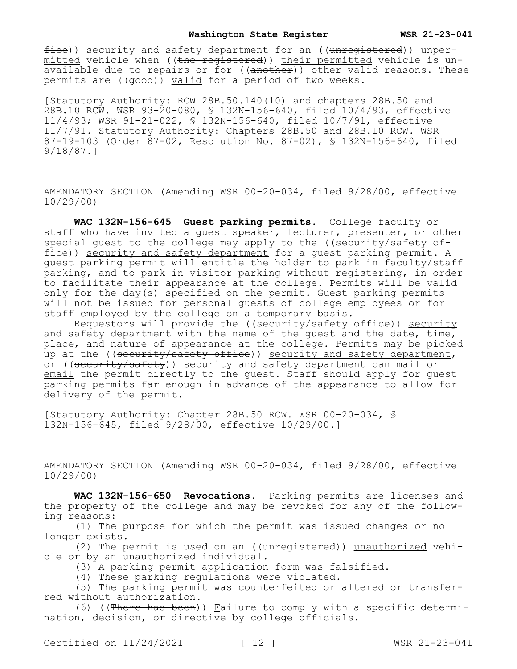fice)) security and safety department for an ((unregistered)) unpermitted vehicle when ((the registered)) their permitted vehicle is unavailable due to repairs or for ((another)) other valid reasons. These permits are (( $\theta$ ood)) valid for a period of two weeks.

[Statutory Authority: RCW 28B.50.140(10) and chapters 28B.50 and 28B.10 RCW. WSR 93-20-080, § 132N-156-640, filed 10/4/93, effective 11/4/93; WSR 91-21-022, § 132N-156-640, filed 10/7/91, effective 11/7/91. Statutory Authority: Chapters 28B.50 and 28B.10 RCW. WSR 87-19-103 (Order 87-02, Resolution No. 87-02), § 132N-156-640, filed 9/18/87.]

AMENDATORY SECTION (Amending WSR 00-20-034, filed 9/28/00, effective 10/29/00)

**WAC 132N-156-645 Guest parking permits.** College faculty or staff who have invited a guest speaker, lecturer, presenter, or other special quest to the college may apply to the (( $\frac{3}{5}$ ) security/safety of $fice)$ ) security and safety department for a quest parking permit. A guest parking permit will entitle the holder to park in faculty/staff parking, and to park in visitor parking without registering, in order to facilitate their appearance at the college. Permits will be valid only for the day(s) specified on the permit. Guest parking permits will not be issued for personal guests of college employees or for staff employed by the college on a temporary basis.

Requestors will provide the ((security/safety office)) security and safety department with the name of the guest and the date, time, place, and nature of appearance at the college. Permits may be picked up at the ((security/safety office)) security and safety department, or ((security/safety)) security and safety department can mail or email the permit directly to the guest. Staff should apply for guest parking permits far enough in advance of the appearance to allow for delivery of the permit.

[Statutory Authority: Chapter 28B.50 RCW. WSR 00-20-034, § 132N-156-645, filed 9/28/00, effective 10/29/00.]

AMENDATORY SECTION (Amending WSR 00-20-034, filed 9/28/00, effective 10/29/00)

**WAC 132N-156-650 Revocations.** Parking permits are licenses and the property of the college and may be revoked for any of the following reasons:

(1) The purpose for which the permit was issued changes or no longer exists.

(2) The permit is used on an  $((unreqistered))$  unauthorized vehicle or by an unauthorized individual.

(3) A parking permit application form was falsified.

(4) These parking regulations were violated.

(5) The parking permit was counterfeited or altered or transferred without authorization.

(6) ((There has been)) Failure to comply with a specific determination, decision, or directive by college officials.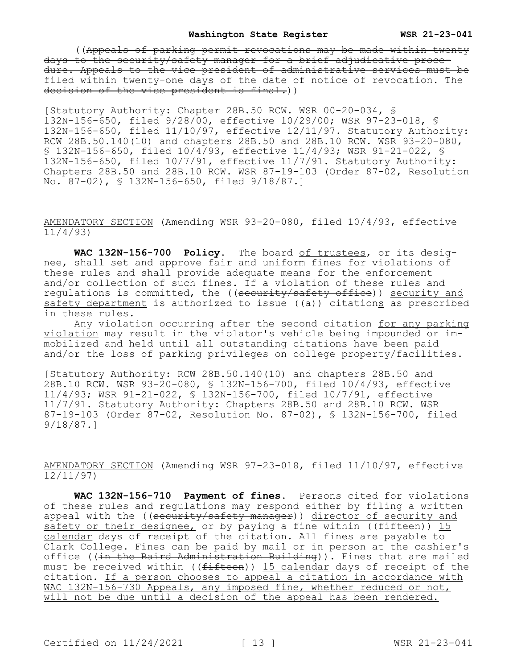((Appeals of parking permit revocations may be made within twenty days to the security/safety manager for a brief adjudicative procedure. Appeals to the vice president of administrative services must be filed within twenty-one days of the date of notice of revocation. The decision of the vice president is final.))

[Statutory Authority: Chapter 28B.50 RCW. WSR 00-20-034, § 132N-156-650, filed 9/28/00, effective 10/29/00; WSR 97-23-018, § 132N-156-650, filed 11/10/97, effective 12/11/97. Statutory Authority: RCW 28B.50.140(10) and chapters 28B.50 and 28B.10 RCW. WSR 93-20-080, § 132N-156-650, filed 10/4/93, effective 11/4/93; WSR 91-21-022, § 132N-156-650, filed 10/7/91, effective 11/7/91. Statutory Authority: Chapters 28B.50 and 28B.10 RCW. WSR 87-19-103 (Order 87-02, Resolution No. 87-02), § 132N-156-650, filed 9/18/87.]

AMENDATORY SECTION (Amending WSR 93-20-080, filed 10/4/93, effective 11/4/93)

**WAC 132N-156-700 Policy.** The board of trustees, or its designee, shall set and approve fair and uniform fines for violations of these rules and shall provide adequate means for the enforcement and/or collection of such fines. If a violation of these rules and regulations is committed, the ((security/safety office)) security and safety department is authorized to issue  $((a))$  citations as prescribed in these rules.

Any violation occurring after the second citation for any parking violation may result in the violator's vehicle being impounded or immobilized and held until all outstanding citations have been paid and/or the loss of parking privileges on college property/facilities.

[Statutory Authority: RCW 28B.50.140(10) and chapters 28B.50 and 28B.10 RCW. WSR 93-20-080, § 132N-156-700, filed 10/4/93, effective 11/4/93; WSR 91-21-022, § 132N-156-700, filed 10/7/91, effective 11/7/91. Statutory Authority: Chapters 28B.50 and 28B.10 RCW. WSR 87-19-103 (Order 87-02, Resolution No. 87-02), § 132N-156-700, filed 9/18/87.]

AMENDATORY SECTION (Amending WSR 97-23-018, filed 11/10/97, effective 12/11/97)

**WAC 132N-156-710 Payment of fines.** Persons cited for violations of these rules and regulations may respond either by filing a written appeal with the ((security/safety manager)) director of security and safety or their designee, or by paying a fine within ((fifteen)) 15 calendar days of receipt of the citation. All fines are payable to Clark College. Fines can be paid by mail or in person at the cashier's office ((in the Baird Administration Building)). Fines that are mailed must be received within (( $f$ ifteen)) 15 calendar days of receipt of the citation. If a person chooses to appeal a citation in accordance with WAC 132N-156-730 Appeals, any imposed fine, whether reduced or not, will not be due until a decision of the appeal has been rendered.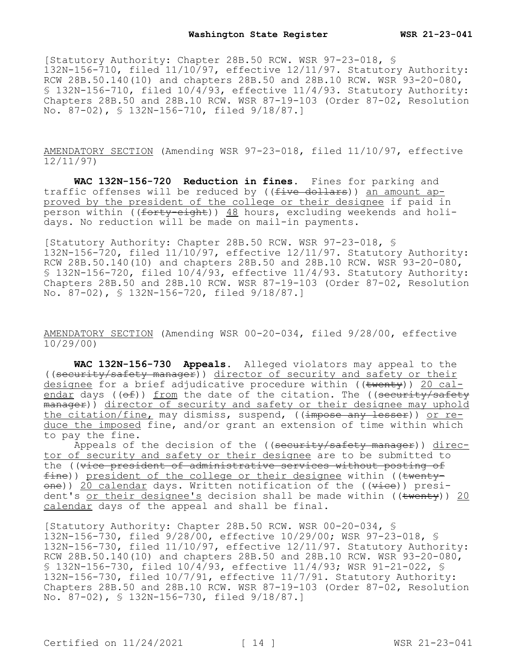[Statutory Authority: Chapter 28B.50 RCW. WSR 97-23-018, § 132N-156-710, filed 11/10/97, effective 12/11/97. Statutory Authority: RCW 28B.50.140(10) and chapters 28B.50 and 28B.10 RCW. WSR  $93-20-080$ , § 132N-156-710, filed  $10/4/93$ , effective  $11/4/93$ . Statutory Authority: Chapters 28B.50 and 28B.10 RCW. WSR 87-19-103 (Order 87-02, Resolution No. 87-02), § 132N-156-710, filed 9/18/87.]

AMENDATORY SECTION (Amending WSR 97-23-018, filed 11/10/97, effective 12/11/97)

**WAC 132N-156-720 Reduction in fines.** Fines for parking and traffic offenses will be reduced by ((five dollars)) an amount approved by the president of the college or their designee if paid in person within ((forty-eight)) 48 hours, excluding weekends and holidays. No reduction will be made on mail-in payments.

[Statutory Authority: Chapter 28B.50 RCW. WSR 97-23-018, § 132N-156-720, filed 11/10/97, effective 12/11/97. Statutory Authority: RCW 28B.50.140(10) and chapters 28B.50 and 28B.10 RCW. WSR  $93-20-080$ , § 132N-156-720, filed 10/4/93, effective 11/4/93. Statutory Authority: Chapters 28B.50 and 28B.10 RCW. WSR 87-19-103 (Order 87-02, Resolution No. 87-02), § 132N-156-720, filed 9/18/87.]

AMENDATORY SECTION (Amending WSR 00-20-034, filed 9/28/00, effective 10/29/00)

**WAC 132N-156-730 Appeals.** Alleged violators may appeal to the ((security/safety manager)) director of security and safety or their designee for a brief adjudicative procedure within  $((\text{twenty}))$  20 calendar days ( $(\theta f)$ ) from the date of the citation. The ((security/safety  $\frac{1}{2}$  manager)) director of security and safety or their designee may uphold the citation/fine, may dismiss, suspend, ((impose any lesser)) or reduce the imposed fine, and/or grant an extension of time within which to pay the fine.

Appeals of the decision of the ((security/safety manager)) director of security and safety or their designee are to be submitted to the ((vice president of administrative services without posting of  $fine)$ ) president of the college or their designee within (( $twenty$ one)) 20 calendar days. Written notification of the ((vice)) president's or their designee's decision shall be made within ( $(\text{twenty})$ ) 20 calendar days of the appeal and shall be final.

[Statutory Authority: Chapter 28B.50 RCW. WSR 00-20-034, § 132N-156-730, filed 9/28/00, effective 10/29/00; WSR 97-23-018, § 132N-156-730, filed 11/10/97, effective 12/11/97. Statutory Authority: RCW 28B.50.140(10) and chapters 28B.50 and 28B.10 RCW. WSR 93-20-080, § 132N-156-730, filed 10/4/93, effective 11/4/93; WSR 91-21-022, § 132N-156-730, filed 10/7/91, effective 11/7/91. Statutory Authority: Chapters 28B.50 and 28B.10 RCW. WSR 87-19-103 (Order 87-02, Resolution No. 87-02), § 132N-156-730, filed 9/18/87.]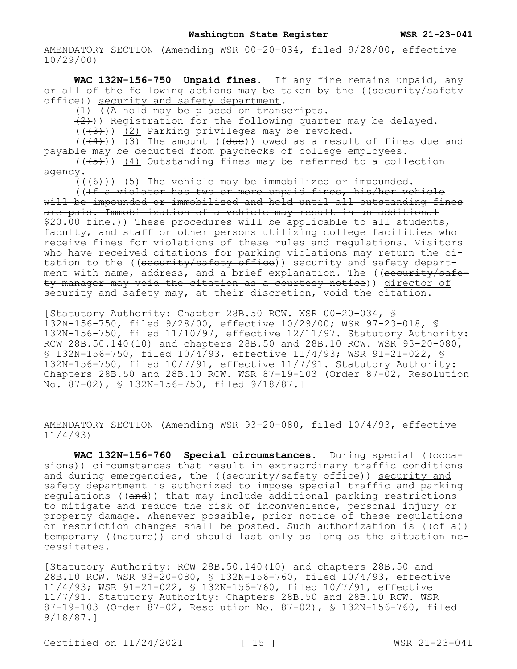**WAC 132N-156-750 Unpaid fines.** If any fine remains unpaid, any or all of the following actions may be taken by the ((security/safety office)) security and safety department.

(1) ((A hold may be placed on transcripts.

 $(2)$ )) Registration for the following quarter may be delayed.

 $((+3))$  (2) Parking privileges may be revoked.

 $((+4))$  (3) The amount ((due)) owed as a result of fines due and payable may be deducted from paychecks of college employees.  $((\overline{5})^{\overline{0}})$  (4) Outstanding fines may be referred to a collection

agency.

 $(1+6)$ ) (5) The vehicle may be immobilized or impounded.

((If a violator has two or more unpaid fines, his/her vehicle will be impounded or immobilized and held until all outstanding fines are paid. Immobilization of a vehicle may result in an additional \$20.00 fine.)) These procedures will be applicable to all students, faculty, and staff or other persons utilizing college facilities who receive fines for violations of these rules and regulations. Visitors who have received citations for parking violations may return the citation to the ((<del>security/safety office</del>)) <u>security and safety depart-</u> <u>ment</u> with name, address, and a brief explanation. The ((<del>security/safe-</del> ty manager may void the citation as a courtesy notice)) director of security and safety may, at their discretion, void the citation.

[Statutory Authority: Chapter 28B.50 RCW. WSR 00-20-034, § 132N-156-750, filed 9/28/00, effective 10/29/00; WSR 97-23-018, § 132N-156-750, filed 11/10/97, effective 12/11/97. Statutory Authority: RCW 28B.50.140(10) and chapters 28B.50 and 28B.10 RCW. WSR 93-20-080, § 132N-156-750, filed 10/4/93, effective 11/4/93; WSR 91-21-022, § 132N-156-750, filed 10/7/91, effective 11/7/91. Statutory Authority: Chapters 28B.50 and 28B.10 RCW. WSR 87-19-103 (Order 87-02, Resolution No. 87-02), § 132N-156-750, filed 9/18/87.]

AMENDATORY SECTION (Amending WSR 93-20-080, filed 10/4/93, effective 11/4/93)

WAC 132N-156-760 Special circumstances. During special ((occasions)) circumstances that result in extraordinary traffic conditions and during emergencies, the ((security/safety office)) security and safety department is authorized to impose special traffic and parking regulations ((and)) that may include additional parking restrictions to mitigate and reduce the risk of inconvenience, personal injury or property damage. Whenever possible, prior notice of these regulations or restriction changes shall be posted. Such authorization is  $((\theta f - a))$ temporary ((nature)) and should last only as long as the situation necessitates.

[Statutory Authority: RCW 28B.50.140(10) and chapters 28B.50 and 28B.10 RCW. WSR 93-20-080, § 132N-156-760, filed 10/4/93, effective 11/4/93; WSR 91-21-022, § 132N-156-760, filed 10/7/91, effective 11/7/91. Statutory Authority: Chapters 28B.50 and 28B.10 RCW. WSR 87-19-103 (Order 87-02, Resolution No. 87-02), § 132N-156-760, filed 9/18/87.]

Certified on  $11/24/2021$  [ 15 ] WSR 21-23-041